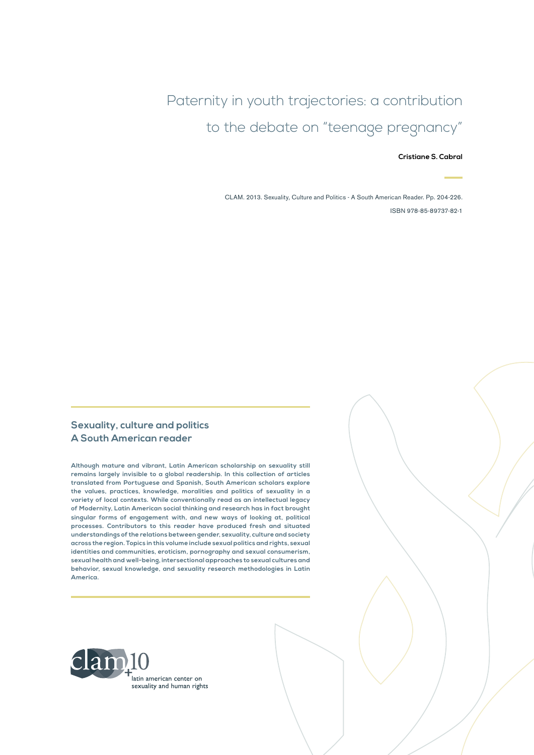Paternity in youth trajectories: a contribution to the debate on "teenage pregnancy"

**Cristiane S. Cabral**

CLAM. 2013. Sexuality, Culture and Politics - A South American Reader. Pp. 204-226. ISBN 978-85-89737-82-1

#### **Sexuality, culture and politics A South American reader**

**Although mature and vibrant, Latin American scholarship on sexuality still remains largely invisible to a global readership. In this collection of articles translated from Portuguese and Spanish, South American scholars explore the values, practices, knowledge, moralities and politics of sexuality in a variety of local contexts. While conventionally read as an intellectual legacy of Modernity, Latin American social thinking and research has in fact brought singular forms of engagement with, and new ways of looking at, political processes. Contributors to this reader have produced fresh and situated understandings of the relations between gender, sexuality, culture and society across the region. Topics in this volume include sexual politics and rights, sexual identities and communities, eroticism, pornography and sexual consumerism, sexual health and well-being, intersectional approaches to sexual cultures and behavior, sexual knowledge, and sexuality research methodologies in Latin America.**

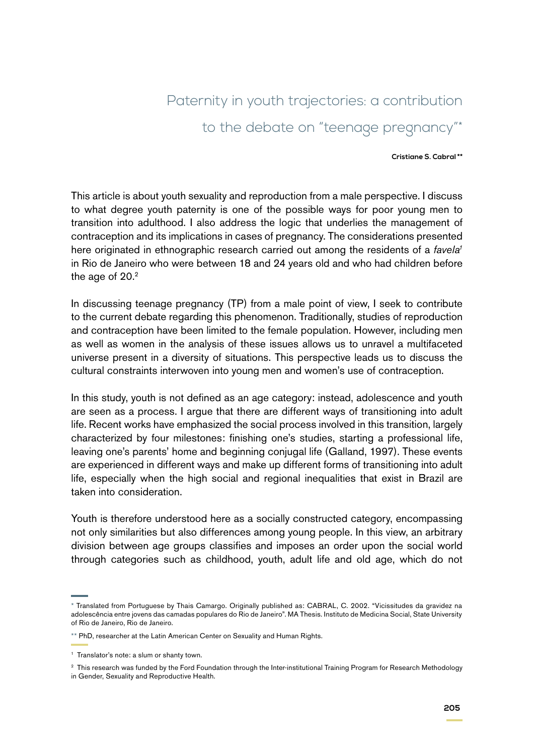# Paternity in youth trajectories: a contribution to the debate on "teenage pregnancy"\*

#### **Cristiane S. Cabral \*\***

This article is about youth sexuality and reproduction from a male perspective. I discuss to what degree youth paternity is one of the possible ways for poor young men to transition into adulthood. I also address the logic that underlies the management of contraception and its implications in cases of pregnancy. The considerations presented here originated in ethnographic research carried out among the residents of a *favela<sup>1</sup>* in Rio de Janeiro who were between 18 and 24 years old and who had children before the age of  $20.<sup>2</sup>$ 

In discussing teenage pregnancy (TP) from a male point of view, I seek to contribute to the current debate regarding this phenomenon. Traditionally, studies of reproduction and contraception have been limited to the female population. However, including men as well as women in the analysis of these issues allows us to unravel a multifaceted universe present in a diversity of situations. This perspective leads us to discuss the cultural constraints interwoven into young men and women's use of contraception.

In this study, youth is not defined as an age category: instead, adolescence and youth are seen as a process. I argue that there are different ways of transitioning into adult life. Recent works have emphasized the social process involved in this transition, largely characterized by four milestones: finishing one's studies, starting a professional life, leaving one's parents' home and beginning conjugal life (Galland, 1997). These events are experienced in different ways and make up different forms of transitioning into adult life, especially when the high social and regional inequalities that exist in Brazil are taken into consideration.

Youth is therefore understood here as a socially constructed category, encompassing not only similarities but also differences among young people. In this view, an arbitrary division between age groups classifies and imposes an order upon the social world through categories such as childhood, youth, adult life and old age, which do not

<sup>\*</sup> Translated from Portuguese by Thais Camargo. Originally published as: CABRAL, C. 2002. "Vicissitudes da gravidez na adolescência entre jovens das camadas populares do Rio de Janeiro". MA Thesis. Instituto de Medicina Social, State University of Rio de Janeiro, Rio de Janeiro.

<sup>\*\*</sup> PhD, researcher at the Latin American Center on Sexuality and Human Rights.

<sup>&</sup>lt;sup>1</sup> Translator's note: a slum or shanty town.

<sup>&</sup>lt;sup>2</sup> This research was funded by the Ford Foundation through the Inter-institutional Training Program for Research Methodology in Gender, Sexuality and Reproductive Health.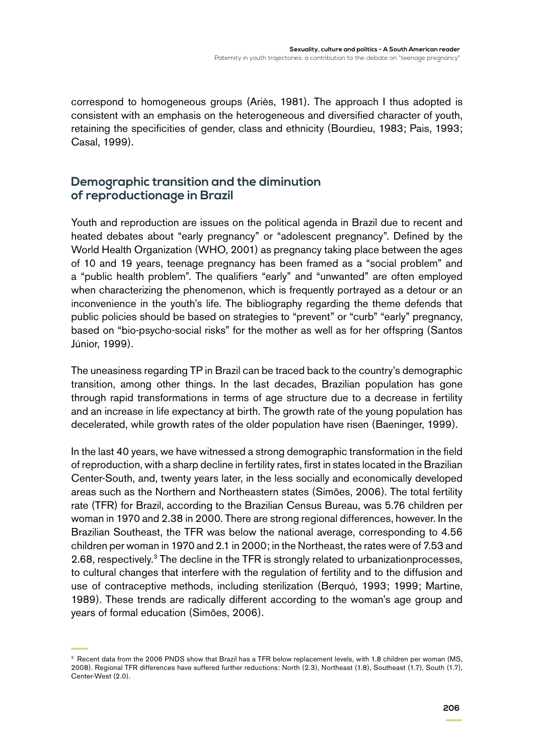correspond to homogeneous groups (Ariès, 1981). The approach I thus adopted is consistent with an emphasis on the heterogeneous and diversified character of youth, retaining the specificities of gender, class and ethnicity (Bourdieu, 1983; Pais, 1993; Casal, 1999).

## **Demographic transition and the diminution of reproductionage in Brazil**

Youth and reproduction are issues on the political agenda in Brazil due to recent and heated debates about "early pregnancy" or "adolescent pregnancy". Defined by the World Health Organization (WHO, 2001) as pregnancy taking place between the ages of 10 and 19 years, teenage pregnancy has been framed as a "social problem" and a "public health problem". The qualifiers "early" and "unwanted" are often employed when characterizing the phenomenon, which is frequently portrayed as a detour or an inconvenience in the youth's life. The bibliography regarding the theme defends that public policies should be based on strategies to "prevent" or "curb" "early" pregnancy, based on "bio-psycho-social risks" for the mother as well as for her offspring (Santos Júnior, 1999).

The uneasiness regarding TP in Brazil can be traced back to the country's demographic transition, among other things. In the last decades, Brazilian population has gone through rapid transformations in terms of age structure due to a decrease in fertility and an increase in life expectancy at birth. The growth rate of the young population has decelerated, while growth rates of the older population have risen (Baeninger, 1999).

In the last 40 years, we have witnessed a strong demographic transformation in the field of reproduction, with a sharp decline in fertility rates, first in states located in the Brazilian Center-South, and, twenty years later, in the less socially and economically developed areas such as the Northern and Northeastern states (Simões, 2006). The total fertility rate (TFR) for Brazil, according to the Brazilian Census Bureau, was 5.76 children per woman in 1970 and 2.38 in 2000. There are strong regional differences, however. In the Brazilian Southeast, the TFR was below the national average, corresponding to 4.56 children per woman in 1970 and 2.1 in 2000; in the Northeast, the rates were of 7.53 and 2.68, respectively.<sup>3</sup> The decline in the TFR is strongly related to urbanizationprocesses, to cultural changes that interfere with the regulation of fertility and to the diffusion and use of contraceptive methods, including sterilization (Berquó, 1993; 1999; Martine, 1989). These trends are radically different according to the woman's age group and years of formal education (Simões, 2006).

<sup>&</sup>lt;sup>3</sup> Recent data from the 2006 PNDS show that Brazil has a TFR below replacement levels, with 1.8 children per woman (MS, 2008). Regional TFR differences have suffered further reductions: North (2.3), Northeast (1.8), Southeast (1.7), South (1.7), Center-West (2.0).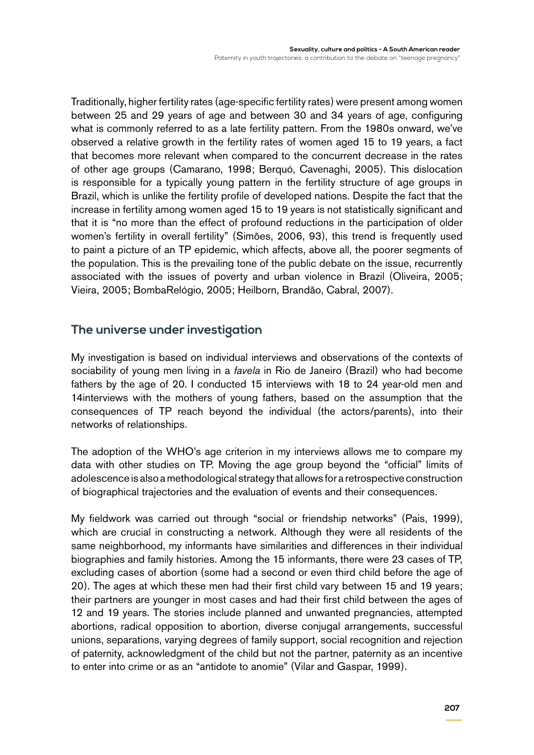Traditionally, higher fertility rates (age-specific fertility rates) were present among women between 25 and 29 years of age and between 30 and 34 years of age, configuring what is commonly referred to as a late fertility pattern. From the 1980s onward, we've observed a relative growth in the fertility rates of women aged 15 to 19 years, a fact that becomes more relevant when compared to the concurrent decrease in the rates of other age groups (Camarano, 1998; Berquó, Cavenaghi, 2005). This dislocation is responsible for a typically young pattern in the fertility structure of age groups in Brazil, which is unlike the fertility profile of developed nations. Despite the fact that the increase in fertility among women aged 15 to 19 years is not statistically significant and that it is "no more than the effect of profound reductions in the participation of older women's fertility in overall fertility" (Simões, 2006, 93), this trend is frequently used to paint a picture of an TP epidemic, which affects, above all, the poorer segments of the population. This is the prevailing tone of the public debate on the issue, recurrently associated with the issues of poverty and urban violence in Brazil (Oliveira, 2005; Vieira, 2005; BombaRelógio, 2005; Heilborn, Brandão, Cabral, 2007).

## **The universe under investigation**

My investigation is based on individual interviews and observations of the contexts of sociability of young men living in a *favela* in Rio de Janeiro (Brazil) who had become fathers by the age of 20. I conducted 15 interviews with 18 to 24 year-old men and 14interviews with the mothers of young fathers, based on the assumption that the consequences of TP reach beyond the individual (the actors/parents), into their networks of relationships.

The adoption of the WHO's age criterion in my interviews allows me to compare my data with other studies on TP. Moving the age group beyond the "official" limits of adolescence is also a methodological strategy that allows for a retrospective construction of biographical trajectories and the evaluation of events and their consequences.

My fieldwork was carried out through "social or friendship networks" (Pais, 1999), which are crucial in constructing a network. Although they were all residents of the same neighborhood, my informants have similarities and differences in their individual biographies and family histories. Among the 15 informants, there were 23 cases of TP, excluding cases of abortion (some had a second or even third child before the age of 20). The ages at which these men had their first child vary between 15 and 19 years; their partners are younger in most cases and had their first child between the ages of 12 and 19 years. The stories include planned and unwanted pregnancies, attempted abortions, radical opposition to abortion, diverse conjugal arrangements, successful unions, separations, varying degrees of family support, social recognition and rejection of paternity, acknowledgment of the child but not the partner, paternity as an incentive to enter into crime or as an "antidote to anomie" (Vilar and Gaspar, 1999).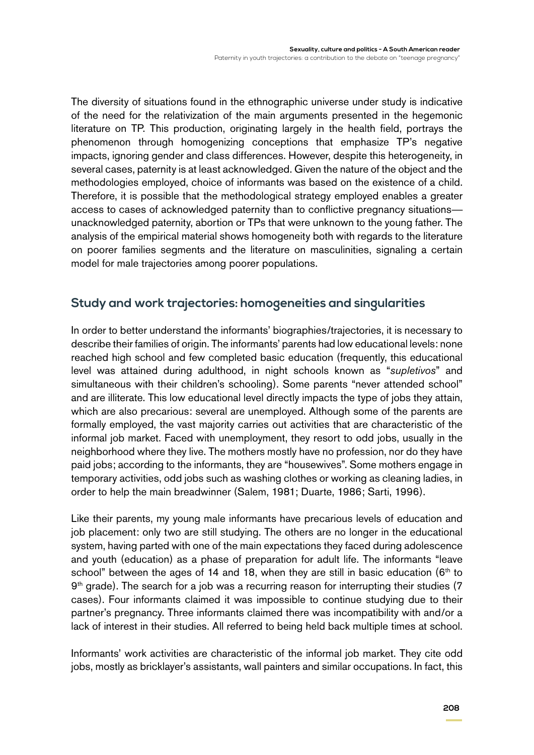The diversity of situations found in the ethnographic universe under study is indicative of the need for the relativization of the main arguments presented in the hegemonic literature on TP. This production, originating largely in the health field, portrays the phenomenon through homogenizing conceptions that emphasize TP's negative impacts, ignoring gender and class differences. However, despite this heterogeneity, in several cases, paternity is at least acknowledged. Given the nature of the object and the methodologies employed, choice of informants was based on the existence of a child. Therefore, it is possible that the methodological strategy employed enables a greater access to cases of acknowledged paternity than to conflictive pregnancy situations unacknowledged paternity, abortion or TPs that were unknown to the young father. The analysis of the empirical material shows homogeneity both with regards to the literature on poorer families segments and the literature on masculinities, signaling a certain model for male trajectories among poorer populations.

## **Study and work trajectories: homogeneities and singularities**

In order to better understand the informants' biographies/trajectories, it is necessary to describe their families of origin. The informants' parents had low educational levels: none reached high school and few completed basic education (frequently, this educational level was attained during adulthood, in night schools known as "*supletivos*" and simultaneous with their children's schooling). Some parents "never attended school" and are illiterate. This low educational level directly impacts the type of jobs they attain, which are also precarious: several are unemployed. Although some of the parents are formally employed, the vast majority carries out activities that are characteristic of the informal job market. Faced with unemployment, they resort to odd jobs, usually in the neighborhood where they live. The mothers mostly have no profession, nor do they have paid jobs; according to the informants, they are "housewives". Some mothers engage in temporary activities, odd jobs such as washing clothes or working as cleaning ladies, in order to help the main breadwinner (Salem, 1981; Duarte, 1986; Sarti, 1996).

Like their parents, my young male informants have precarious levels of education and job placement: only two are still studying. The others are no longer in the educational system, having parted with one of the main expectations they faced during adolescence and youth (education) as a phase of preparation for adult life. The informants "leave school" between the ages of 14 and 18, when they are still in basic education  $(6<sup>th</sup>$  to 9<sup>th</sup> grade). The search for a job was a recurring reason for interrupting their studies (7 cases). Four informants claimed it was impossible to continue studying due to their partner's pregnancy. Three informants claimed there was incompatibility with and/or a lack of interest in their studies. All referred to being held back multiple times at school.

Informants' work activities are characteristic of the informal job market. They cite odd jobs, mostly as bricklayer's assistants, wall painters and similar occupations. In fact, this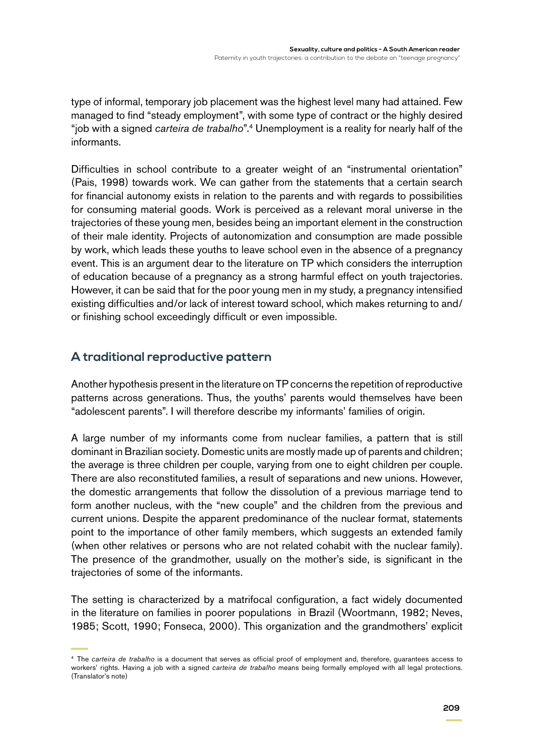type of informal, temporary job placement was the highest level many had attained. Few managed to find "steady employment", with some type of contract or the highly desired "job with a signed *carteira de trabalho*".4 Unemployment is a reality for nearly half of the informants.

Difficulties in school contribute to a greater weight of an "instrumental orientation" (Pais, 1998) towards work. We can gather from the statements that a certain search for financial autonomy exists in relation to the parents and with regards to possibilities for consuming material goods. Work is perceived as a relevant moral universe in the trajectories of these young men, besides being an important element in the construction of their male identity. Projects of autonomization and consumption are made possible by work, which leads these youths to leave school even in the absence of a pregnancy event. This is an argument dear to the literature on TP which considers the interruption of education because of a pregnancy as a strong harmful effect on youth trajectories. However, it can be said that for the poor young men in my study, a pregnancy intensified existing difficulties and/or lack of interest toward school, which makes returning to and/ or finishing school exceedingly difficult or even impossible.

## **A traditional reproductive pattern**

Another hypothesis present in the literature on TP concerns the repetition of reproductive patterns across generations. Thus, the youths' parents would themselves have been "adolescent parents". I will therefore describe my informants' families of origin.

A large number of my informants come from nuclear families, a pattern that is still dominant in Brazilian society. Domestic units are mostly made up of parents and children; the average is three children per couple, varying from one to eight children per couple. There are also reconstituted families, a result of separations and new unions. However, the domestic arrangements that follow the dissolution of a previous marriage tend to form another nucleus, with the "new couple" and the children from the previous and current unions. Despite the apparent predominance of the nuclear format, statements point to the importance of other family members, which suggests an extended family (when other relatives or persons who are not related cohabit with the nuclear family). The presence of the grandmother, usually on the mother's side, is significant in the trajectories of some of the informants.

The setting is characterized by a matrifocal configuration, a fact widely documented in the literature on families in poorer populations in Brazil (Woortmann, 1982; Neves, 1985; Scott, 1990; Fonseca, 2000). This organization and the grandmothers' explicit

<sup>4</sup> The *carteira de trabalho* is a document that serves as official proof of employment and, therefore, guarantees access to workers' rights. Having a job with a signed *carteira de trabalho* means being formally employed with all legal protections. (Translator's note)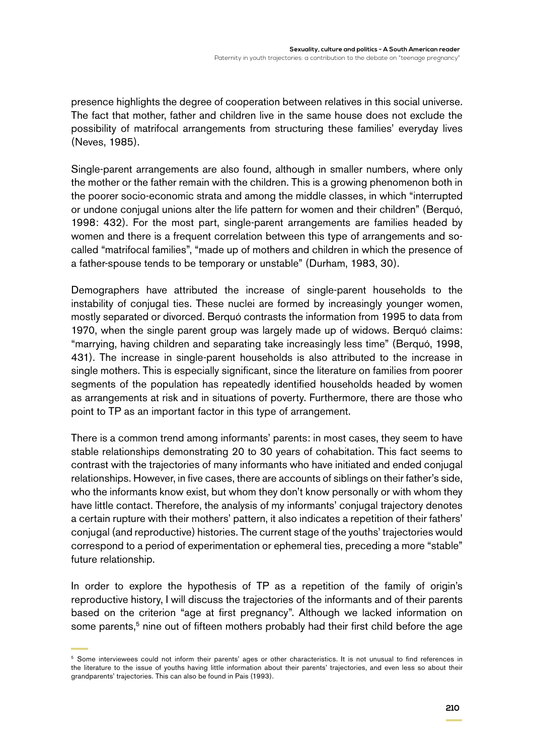presence highlights the degree of cooperation between relatives in this social universe. The fact that mother, father and children live in the same house does not exclude the possibility of matrifocal arrangements from structuring these families' everyday lives (Neves, 1985).

Single-parent arrangements are also found, although in smaller numbers, where only the mother or the father remain with the children. This is a growing phenomenon both in the poorer socio-economic strata and among the middle classes, in which "interrupted or undone conjugal unions alter the life pattern for women and their children" (Berquó, 1998: 432). For the most part, single-parent arrangements are families headed by women and there is a frequent correlation between this type of arrangements and socalled "matrifocal families", "made up of mothers and children in which the presence of a father-spouse tends to be temporary or unstable" (Durham, 1983, 30).

Demographers have attributed the increase of single-parent households to the instability of conjugal ties. These nuclei are formed by increasingly younger women, mostly separated or divorced. Berquó contrasts the information from 1995 to data from 1970, when the single parent group was largely made up of widows. Berquó claims: "marrying, having children and separating take increasingly less time" (Berquó, 1998, 431). The increase in single-parent households is also attributed to the increase in single mothers. This is especially significant, since the literature on families from poorer segments of the population has repeatedly identified households headed by women as arrangements at risk and in situations of poverty. Furthermore, there are those who point to TP as an important factor in this type of arrangement.

There is a common trend among informants' parents: in most cases, they seem to have stable relationships demonstrating 20 to 30 years of cohabitation. This fact seems to contrast with the trajectories of many informants who have initiated and ended conjugal relationships. However, in five cases, there are accounts of siblings on their father's side, who the informants know exist, but whom they don't know personally or with whom they have little contact. Therefore, the analysis of my informants' conjugal trajectory denotes a certain rupture with their mothers' pattern, it also indicates a repetition of their fathers' conjugal (and reproductive) histories. The current stage of the youths' trajectories would correspond to a period of experimentation or ephemeral ties, preceding a more "stable" future relationship.

In order to explore the hypothesis of TP as a repetition of the family of origin's reproductive history, I will discuss the trajectories of the informants and of their parents based on the criterion "age at first pregnancy". Although we lacked information on some parents,<sup>5</sup> nine out of fifteen mothers probably had their first child before the age

<sup>&</sup>lt;sup>5</sup> Some interviewees could not inform their parents' ages or other characteristics. It is not unusual to find references in the literature to the issue of youths having little information about their parents' trajectories, and even less so about their grandparents' trajectories. This can also be found in Pais (1993).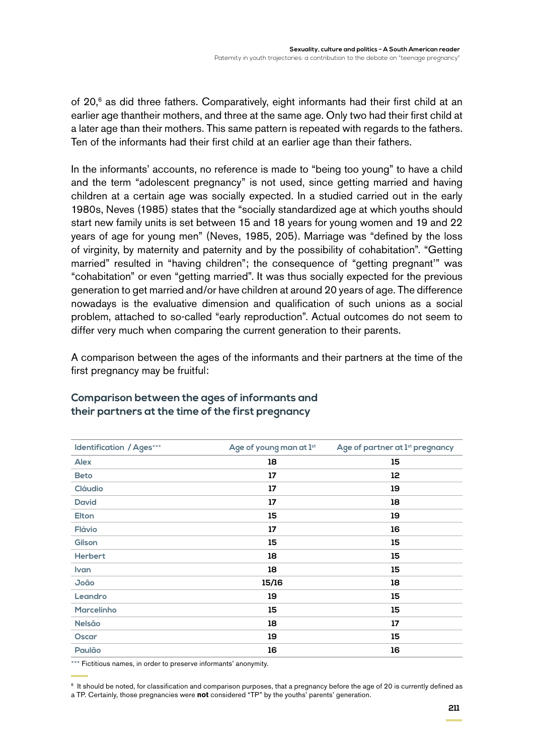of 20,<sup>6</sup> as did three fathers. Comparatively, eight informants had their first child at an earlier age thantheir mothers, and three at the same age. Only two had their first child at a later age than their mothers. This same pattern is repeated with regards to the fathers. Ten of the informants had their first child at an earlier age than their fathers.

In the informants' accounts, no reference is made to "being too young" to have a child and the term "adolescent pregnancy" is not used, since getting married and having children at a certain age was socially expected. In a studied carried out in the early 1980s, Neves (1985) states that the "socially standardized age at which youths should start new family units is set between 15 and 18 years for young women and 19 and 22 years of age for young men" (Neves, 1985, 205). Marriage was "defined by the loss of virginity, by maternity and paternity and by the possibility of cohabitation". "Getting married" resulted in "having children"; the consequence of "getting pregnant'" was "cohabitation" or even "getting married". It was thus socially expected for the previous generation to get married and/or have children at around 20 years of age. The difference nowadays is the evaluative dimension and qualification of such unions as a social problem, attached to so-called "early reproduction". Actual outcomes do not seem to differ very much when comparing the current generation to their parents.

A comparison between the ages of the informants and their partners at the time of the first pregnancy may be fruitful:

| <b>Identification / Ages***</b> | Age of young man at 1st | Age of partner at 1st pregnancy |
|---------------------------------|-------------------------|---------------------------------|
| <b>Alex</b>                     | 18                      | 15                              |
| <b>Beto</b>                     | 17                      | 12                              |
| <b>Cláudio</b>                  | 17                      | 19                              |
| <b>David</b>                    | 17                      | 18                              |
| <b>Elton</b>                    | 15                      | 19                              |
| Flávio                          | 17                      | 16                              |
| Gilson                          | 15                      | 15                              |
| <b>Herbert</b>                  | 18                      | 15                              |
| Ivan                            | 18                      | 15                              |
| João                            | 15/16                   | 18                              |
| Leandro                         | 19                      | 15                              |
| <b>Marcelinho</b>               | 15                      | 15                              |
| <b>Nelsão</b>                   | 18                      | 17                              |
| <b>Oscar</b>                    | 19                      | 15                              |
| Paulão                          | 16                      | 16                              |

#### **Comparison between the ages of informants and their partners at the time of the first pregnancy**

\*\*\* Fictitious names, in order to preserve informants' anonymity.

<sup>6</sup> It should be noted, for classification and comparison purposes, that a pregnancy before the age of 20 is currently defined as

a TP. Certainly, those pregnancies were **not** considered "TP" by the youths' parents' generation.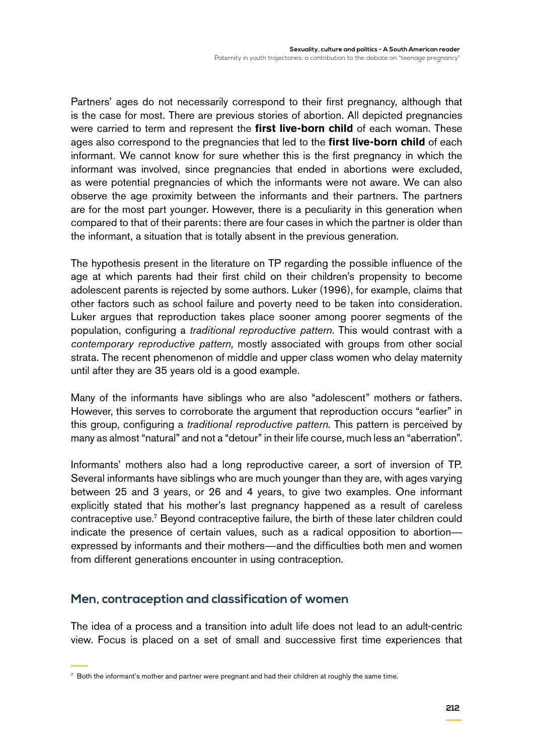Partners' ages do not necessarily correspond to their first pregnancy, although that is the case for most. There are previous stories of abortion. All depicted pregnancies were carried to term and represent the **first live-born child** of each woman. These ages also correspond to the pregnancies that led to the **first live-born child** of each informant. We cannot know for sure whether this is the first pregnancy in which the informant was involved, since pregnancies that ended in abortions were excluded, as were potential pregnancies of which the informants were not aware. We can also observe the age proximity between the informants and their partners. The partners are for the most part younger. However, there is a peculiarity in this generation when compared to that of their parents: there are four cases in which the partner is older than the informant, a situation that is totally absent in the previous generation.

The hypothesis present in the literature on TP regarding the possible influence of the age at which parents had their first child on their children's propensity to become adolescent parents is rejected by some authors. Luker (1996), for example, claims that other factors such as school failure and poverty need to be taken into consideration. Luker argues that reproduction takes place sooner among poorer segments of the population, configuring a *traditional reproductive pattern*. This would contrast with a *contemporary reproductive pattern,* mostly associated with groups from other social strata. The recent phenomenon of middle and upper class women who delay maternity until after they are 35 years old is a good example.

Many of the informants have siblings who are also "adolescent" mothers or fathers. However, this serves to corroborate the argument that reproduction occurs "earlier" in this group, configuring a *traditional reproductive pattern*. This pattern is perceived by many as almost "natural" and not a "detour" in their life course, much less an "aberration".

Informants' mothers also had a long reproductive career, a sort of inversion of TP. Several informants have siblings who are much younger than they are, with ages varying between 25 and 3 years, or 26 and 4 years, to give two examples. One informant explicitly stated that his mother's last pregnancy happened as a result of careless contraceptive use.<sup>7</sup> Beyond contraceptive failure, the birth of these later children could indicate the presence of certain values, such as a radical opposition to abortion expressed by informants and their mothers—and the difficulties both men and women from different generations encounter in using contraception.

#### **Men, contraception and classification of women**

The idea of a process and a transition into adult life does not lead to an adult-centric view. Focus is placed on a set of small and successive first time experiences that

<sup>7</sup> Both the informant's mother and partner were pregnant and had their children at roughly the same time.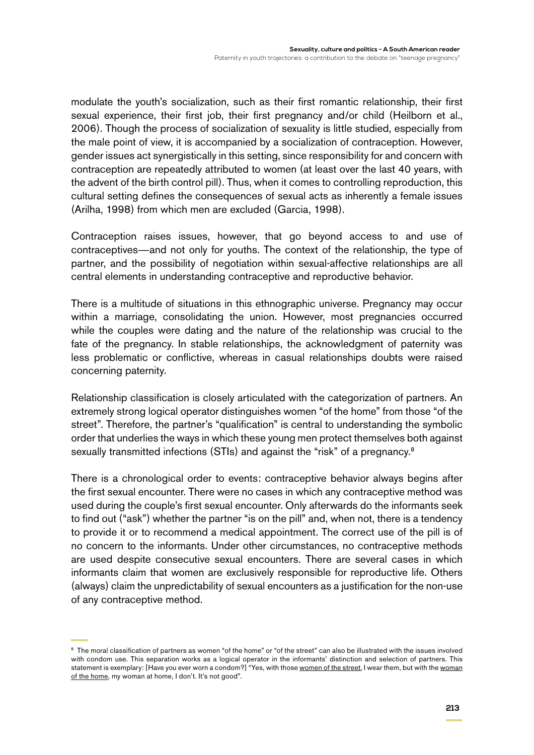modulate the youth's socialization, such as their first romantic relationship, their first sexual experience, their first job, their first pregnancy and/or child (Heilborn et al., 2006). Though the process of socialization of sexuality is little studied, especially from the male point of view, it is accompanied by a socialization of contraception. However, gender issues act synergistically in this setting, since responsibility for and concern with contraception are repeatedly attributed to women (at least over the last 40 years, with the advent of the birth control pill). Thus, when it comes to controlling reproduction, this cultural setting defines the consequences of sexual acts as inherently a female issues (Arilha, 1998) from which men are excluded (Garcia, 1998).

Contraception raises issues, however, that go beyond access to and use of contraceptives—and not only for youths. The context of the relationship, the type of partner, and the possibility of negotiation within sexual-affective relationships are all central elements in understanding contraceptive and reproductive behavior.

There is a multitude of situations in this ethnographic universe. Pregnancy may occur within a marriage, consolidating the union. However, most pregnancies occurred while the couples were dating and the nature of the relationship was crucial to the fate of the pregnancy. In stable relationships, the acknowledgment of paternity was less problematic or conflictive, whereas in casual relationships doubts were raised concerning paternity.

Relationship classification is closely articulated with the categorization of partners. An extremely strong logical operator distinguishes women "of the home" from those "of the street". Therefore, the partner's "qualification" is central to understanding the symbolic order that underlies the ways in which these young men protect themselves both against sexually transmitted infections (STIs) and against the "risk" of a pregnancy.<sup>8</sup>

There is a chronological order to events: contraceptive behavior always begins after the first sexual encounter. There were no cases in which any contraceptive method was used during the couple's first sexual encounter. Only afterwards do the informants seek to find out ("ask") whether the partner "is on the pill" and, when not, there is a tendency to provide it or to recommend a medical appointment. The correct use of the pill is of no concern to the informants. Under other circumstances, no contraceptive methods are used despite consecutive sexual encounters. There are several cases in which informants claim that women are exclusively responsible for reproductive life. Others (always) claim the unpredictability of sexual encounters as a justification for the non-use of any contraceptive method.

<sup>&</sup>lt;sup>8</sup> The moral classification of partners as women "of the home" or "of the street" can also be illustrated with the issues involved with condom use. This separation works as a logical operator in the informants' distinction and selection of partners. This statement is exemplary: [Have you ever worn a condom?] "Yes, with those women of the street, I wear them, but with the woman of the home, my woman at home, I don't. It's not good".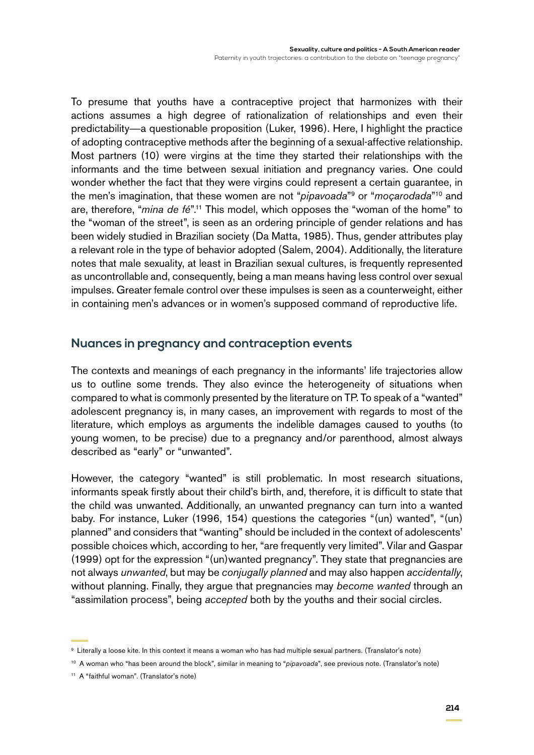To presume that youths have a contraceptive project that harmonizes with their actions assumes a high degree of rationalization of relationships and even their predictability—a questionable proposition (Luker, 1996). Here, I highlight the practice of adopting contraceptive methods after the beginning of a sexual-affective relationship. Most partners (10) were virgins at the time they started their relationships with the informants and the time between sexual initiation and pregnancy varies. One could wonder whether the fact that they were virgins could represent a certain guarantee, in the men's imagination, that these women are not "*pipavoada*"9 or "*moçarodada*"10 and are, therefore, "*mina de fé*".11 This model, which opposes the "woman of the home" to the "woman of the street", is seen as an ordering principle of gender relations and has been widely studied in Brazilian society (Da Matta, 1985). Thus, gender attributes play a relevant role in the type of behavior adopted (Salem, 2004). Additionally, the literature notes that male sexuality, at least in Brazilian sexual cultures, is frequently represented as uncontrollable and, consequently, being a man means having less control over sexual impulses. Greater female control over these impulses is seen as a counterweight, either in containing men's advances or in women's supposed command of reproductive life.

## **Nuances in pregnancy and contraception events**

The contexts and meanings of each pregnancy in the informants' life trajectories allow us to outline some trends. They also evince the heterogeneity of situations when compared to what is commonly presented by the literature on TP. To speak of a "wanted" adolescent pregnancy is, in many cases, an improvement with regards to most of the literature, which employs as arguments the indelible damages caused to youths (to young women, to be precise) due to a pregnancy and/or parenthood, almost always described as "early" or "unwanted".

However, the category "wanted" is still problematic. In most research situations, informants speak firstly about their child's birth, and, therefore, it is difficult to state that the child was unwanted. Additionally, an unwanted pregnancy can turn into a wanted baby. For instance, Luker (1996, 154) questions the categories "(un) wanted", "(un) planned" and considers that "wanting" should be included in the context of adolescents' possible choices which, according to her, "are frequently very limited". Vilar and Gaspar (1999) opt for the expression "(un)wanted pregnancy". They state that pregnancies are not always *unwanted*, but may be *conjugally planned* and may also happen *accidentally*, without planning. Finally, they argue that pregnancies may *become wanted* through an "assimilation process", being *accepted* both by the youths and their social circles.

<sup>9</sup> Literally a loose kite. In this context it means a woman who has had multiple sexual partners. (Translator's note)

<sup>&</sup>lt;sup>10</sup> A woman who "has been around the block", similar in meaning to "*pipavoada*", see previous note. (Translator's note)

<sup>11</sup> A "faithful woman". (Translator's note)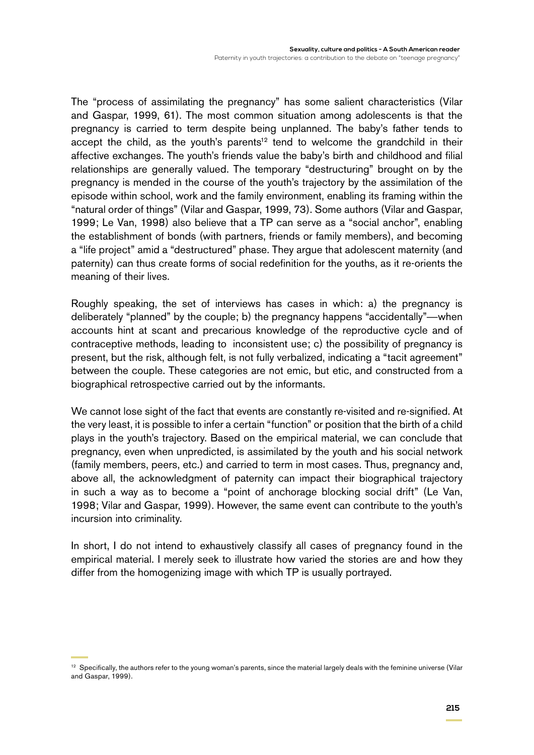The "process of assimilating the pregnancy" has some salient characteristics (Vilar and Gaspar, 1999, 61). The most common situation among adolescents is that the pregnancy is carried to term despite being unplanned. The baby's father tends to accept the child, as the youth's parents<sup>12</sup> tend to welcome the grandchild in their affective exchanges. The youth's friends value the baby's birth and childhood and filial relationships are generally valued. The temporary "destructuring" brought on by the pregnancy is mended in the course of the youth's trajectory by the assimilation of the episode within school, work and the family environment, enabling its framing within the "natural order of things" (Vilar and Gaspar, 1999, 73). Some authors (Vilar and Gaspar, 1999; Le Van, 1998) also believe that a TP can serve as a "social anchor", enabling the establishment of bonds (with partners, friends or family members), and becoming a "life project" amid a "destructured" phase. They argue that adolescent maternity (and paternity) can thus create forms of social redefinition for the youths, as it re-orients the meaning of their lives.

Roughly speaking, the set of interviews has cases in which: a) the pregnancy is deliberately "planned" by the couple; b) the pregnancy happens "accidentally"—when accounts hint at scant and precarious knowledge of the reproductive cycle and of contraceptive methods, leading to inconsistent use; c) the possibility of pregnancy is present, but the risk, although felt, is not fully verbalized, indicating a "tacit agreement" between the couple. These categories are not emic, but etic, and constructed from a biographical retrospective carried out by the informants.

We cannot lose sight of the fact that events are constantly re-visited and re-signified. At the very least, it is possible to infer a certain "function" or position that the birth of a child plays in the youth's trajectory. Based on the empirical material, we can conclude that pregnancy, even when unpredicted, is assimilated by the youth and his social network (family members, peers, etc.) and carried to term in most cases. Thus, pregnancy and, above all, the acknowledgment of paternity can impact their biographical trajectory in such a way as to become a "point of anchorage blocking social drift" (Le Van, 1998; Vilar and Gaspar, 1999). However, the same event can contribute to the youth's incursion into criminality.

In short, I do not intend to exhaustively classify all cases of pregnancy found in the empirical material. I merely seek to illustrate how varied the stories are and how they differ from the homogenizing image with which TP is usually portrayed.

<sup>&</sup>lt;sup>12</sup> Specifically, the authors refer to the young woman's parents, since the material largely deals with the feminine universe (Vilar and Gaspar, 1999).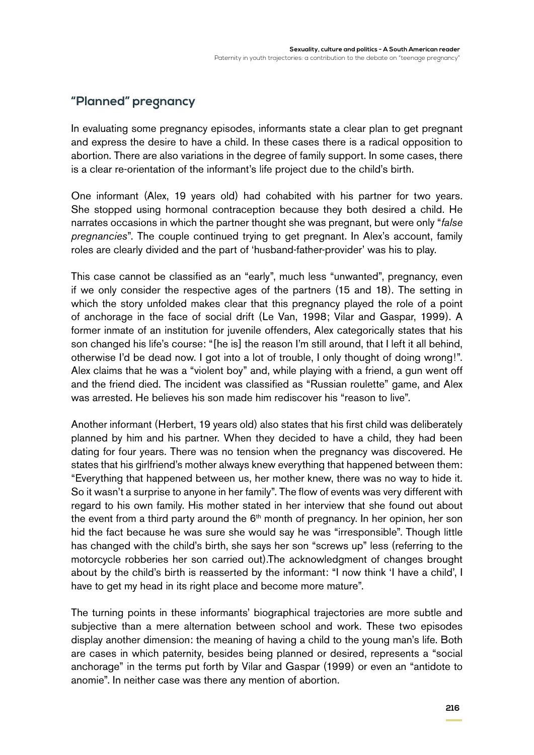# **"Planned" pregnancy**

In evaluating some pregnancy episodes, informants state a clear plan to get pregnant and express the desire to have a child. In these cases there is a radical opposition to abortion. There are also variations in the degree of family support. In some cases, there is a clear re-orientation of the informant's life project due to the child's birth.

One informant (Alex, 19 years old) had cohabited with his partner for two years. She stopped using hormonal contraception because they both desired a child. He narrates occasions in which the partner thought she was pregnant, but were only "*false pregnancies*". The couple continued trying to get pregnant. In Alex's account, family roles are clearly divided and the part of 'husband-father-provider' was his to play.

This case cannot be classified as an "early", much less "unwanted", pregnancy, even if we only consider the respective ages of the partners (15 and 18). The setting in which the story unfolded makes clear that this pregnancy played the role of a point of anchorage in the face of social drift (Le Van, 1998; Vilar and Gaspar, 1999). A former inmate of an institution for juvenile offenders, Alex categorically states that his son changed his life's course: "[he is] the reason I'm still around, that I left it all behind, otherwise I'd be dead now. I got into a lot of trouble, I only thought of doing wrong!". Alex claims that he was a "violent boy" and, while playing with a friend, a gun went off and the friend died. The incident was classified as "Russian roulette" game, and Alex was arrested. He believes his son made him rediscover his "reason to live".

Another informant (Herbert, 19 years old) also states that his first child was deliberately planned by him and his partner. When they decided to have a child, they had been dating for four years. There was no tension when the pregnancy was discovered. He states that his girlfriend's mother always knew everything that happened between them: "Everything that happened between us, her mother knew, there was no way to hide it. So it wasn't a surprise to anyone in her family". The flow of events was very different with regard to his own family. His mother stated in her interview that she found out about the event from a third party around the  $6<sup>th</sup>$  month of pregnancy. In her opinion, her son hid the fact because he was sure she would say he was "irresponsible". Though little has changed with the child's birth, she says her son "screws up" less (referring to the motorcycle robberies her son carried out).The acknowledgment of changes brought about by the child's birth is reasserted by the informant: "I now think 'I have a child', I have to get my head in its right place and become more mature".

The turning points in these informants' biographical trajectories are more subtle and subjective than a mere alternation between school and work. These two episodes display another dimension: the meaning of having a child to the young man's life. Both are cases in which paternity, besides being planned or desired, represents a "social anchorage" in the terms put forth by Vilar and Gaspar (1999) or even an "antidote to anomie". In neither case was there any mention of abortion.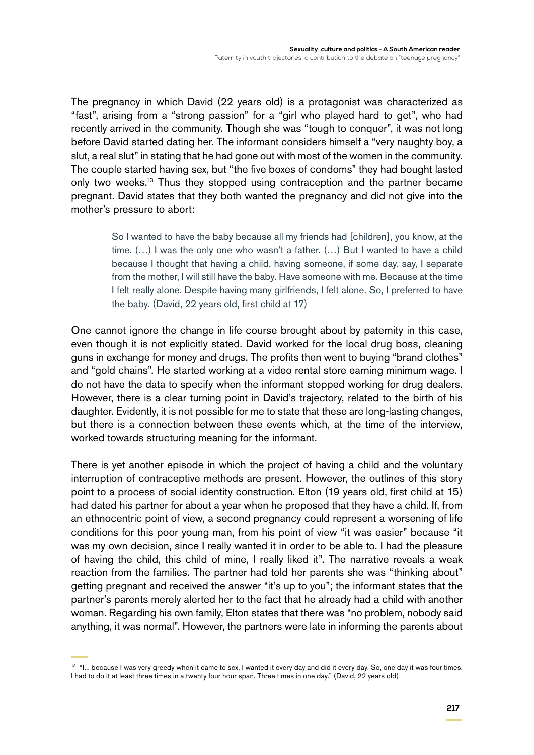The pregnancy in which David (22 years old) is a protagonist was characterized as "fast", arising from a "strong passion" for a "girl who played hard to get", who had recently arrived in the community. Though she was "tough to conquer", it was not long before David started dating her. The informant considers himself a "very naughty boy, a slut, a real slut" in stating that he had gone out with most of the women in the community. The couple started having sex, but "the five boxes of condoms" they had bought lasted only two weeks.13 Thus they stopped using contraception and the partner became pregnant. David states that they both wanted the pregnancy and did not give into the mother's pressure to abort:

> So I wanted to have the baby because all my friends had [children], you know, at the time. (…) I was the only one who wasn't a father. (…) But I wanted to have a child because I thought that having a child, having someone, if some day, say, I separate from the mother, I will still have the baby. Have someone with me. Because at the time I felt really alone. Despite having many girlfriends, I felt alone. So, I preferred to have the baby. (David, 22 years old, first child at 17)

One cannot ignore the change in life course brought about by paternity in this case, even though it is not explicitly stated. David worked for the local drug boss, cleaning guns in exchange for money and drugs. The profits then went to buying "brand clothes" and "gold chains". He started working at a video rental store earning minimum wage. I do not have the data to specify when the informant stopped working for drug dealers. However, there is a clear turning point in David's trajectory, related to the birth of his daughter. Evidently, it is not possible for me to state that these are long-lasting changes, but there is a connection between these events which, at the time of the interview, worked towards structuring meaning for the informant.

There is yet another episode in which the project of having a child and the voluntary interruption of contraceptive methods are present. However, the outlines of this story point to a process of social identity construction. Elton (19 years old, first child at 15) had dated his partner for about a year when he proposed that they have a child. If, from an ethnocentric point of view, a second pregnancy could represent a worsening of life conditions for this poor young man, from his point of view "it was easier" because "it was my own decision, since I really wanted it in order to be able to. I had the pleasure of having the child, this child of mine, I really liked it". The narrative reveals a weak reaction from the families. The partner had told her parents she was "thinking about" getting pregnant and received the answer "it's up to you"; the informant states that the partner's parents merely alerted her to the fact that he already had a child with another woman. Regarding his own family, Elton states that there was "no problem, nobody said anything, it was normal". However, the partners were late in informing the parents about

<sup>&</sup>lt;sup>13</sup> "I... because I was very greedy when it came to sex, I wanted it every day and did it every day. So, one day it was four times. I had to do it at least three times in a twenty four hour span. Three times in one day." (David, 22 years old)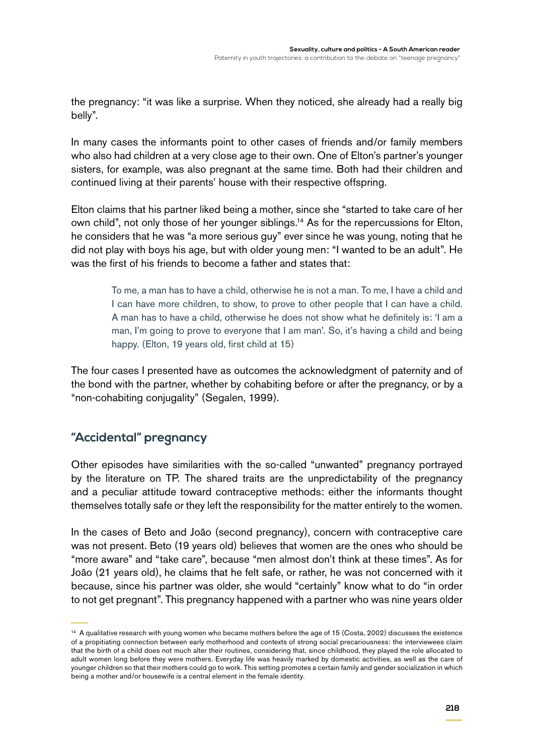the pregnancy: "it was like a surprise. When they noticed, she already had a really big belly".

In many cases the informants point to other cases of friends and/or family members who also had children at a very close age to their own. One of Elton's partner's younger sisters, for example, was also pregnant at the same time. Both had their children and continued living at their parents' house with their respective offspring.

Elton claims that his partner liked being a mother, since she "started to take care of her own child", not only those of her younger siblings.<sup>14</sup> As for the repercussions for Elton, he considers that he was "a more serious guy" ever since he was young, noting that he did not play with boys his age, but with older young men: "I wanted to be an adult". He was the first of his friends to become a father and states that:

> To me, a man has to have a child, otherwise he is not a man. To me, I have a child and I can have more children, to show, to prove to other people that I can have a child. A man has to have a child, otherwise he does not show what he definitely is: 'I am a man, I'm going to prove to everyone that I am man'. So, it's having a child and being happy. (Elton, 19 years old, first child at 15)

The four cases I presented have as outcomes the acknowledgment of paternity and of the bond with the partner, whether by cohabiting before or after the pregnancy, or by a "non-cohabiting conjugality" (Segalen, 1999).

## **"Accidental" pregnancy**

Other episodes have similarities with the so-called "unwanted" pregnancy portrayed by the literature on TP. The shared traits are the unpredictability of the pregnancy and a peculiar attitude toward contraceptive methods: either the informants thought themselves totally safe or they left the responsibility for the matter entirely to the women.

In the cases of Beto and João (second pregnancy), concern with contraceptive care was not present. Beto (19 years old) believes that women are the ones who should be "more aware" and "take care", because "men almost don't think at these times". As for João (21 years old), he claims that he felt safe, or rather, he was not concerned with it because, since his partner was older, she would "certainly" know what to do "in order to not get pregnant". This pregnancy happened with a partner who was nine years older

<sup>&</sup>lt;sup>14</sup> A qualitative research with young women who became mothers before the age of 15 (Costa, 2002) discusses the existence of a propitiating connection between early motherhood and contexts of strong social precariousness: the interviewees claim that the birth of a child does not much alter their routines, considering that, since childhood, they played the role allocated to adult women long before they were mothers. Everyday life was heavily marked by domestic activities, as well as the care of younger children so that their mothers could go to work. This setting promotes a certain family and gender socialization in which being a mother and/or housewife is a central element in the female identity.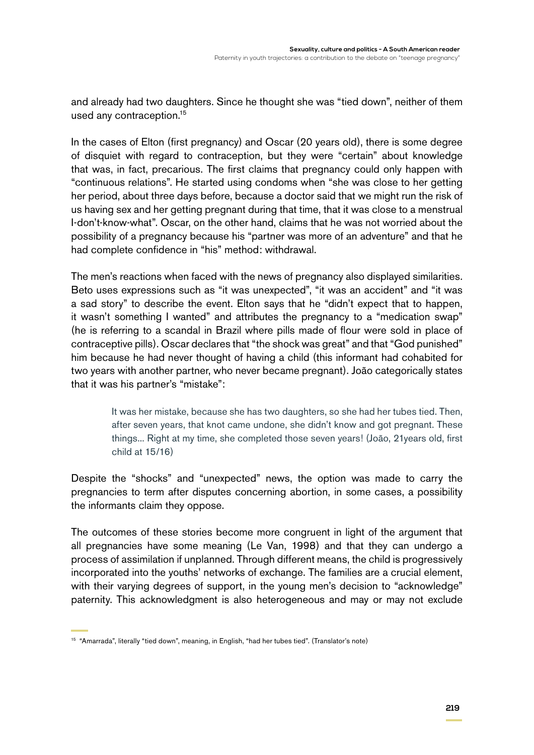and already had two daughters. Since he thought she was "tied down", neither of them used any contraception.<sup>15</sup>

In the cases of Elton (first pregnancy) and Oscar (20 years old), there is some degree of disquiet with regard to contraception, but they were "certain" about knowledge that was, in fact, precarious. The first claims that pregnancy could only happen with "continuous relations". He started using condoms when "she was close to her getting her period, about three days before, because a doctor said that we might run the risk of us having sex and her getting pregnant during that time, that it was close to a menstrual I-don't-know-what". Oscar, on the other hand, claims that he was not worried about the possibility of a pregnancy because his "partner was more of an adventure" and that he had complete confidence in "his" method: withdrawal.

The men's reactions when faced with the news of pregnancy also displayed similarities. Beto uses expressions such as "it was unexpected", "it was an accident" and "it was a sad story" to describe the event. Elton says that he "didn't expect that to happen, it wasn't something I wanted" and attributes the pregnancy to a "medication swap" (he is referring to a scandal in Brazil where pills made of flour were sold in place of contraceptive pills). Oscar declares that "the shock was great" and that "God punished" him because he had never thought of having a child (this informant had cohabited for two years with another partner, who never became pregnant). João categorically states that it was his partner's "mistake":

> It was her mistake, because she has two daughters, so she had her tubes tied. Then, after seven years, that knot came undone, she didn't know and got pregnant. These things... Right at my time, she completed those seven years! (João, 21years old, first child at 15/16)

Despite the "shocks" and "unexpected" news, the option was made to carry the pregnancies to term after disputes concerning abortion, in some cases, a possibility the informants claim they oppose.

The outcomes of these stories become more congruent in light of the argument that all pregnancies have some meaning (Le Van, 1998) and that they can undergo a process of assimilation if unplanned. Through different means, the child is progressively incorporated into the youths' networks of exchange. The families are a crucial element, with their varying degrees of support, in the young men's decision to "acknowledge" paternity. This acknowledgment is also heterogeneous and may or may not exclude

<sup>15</sup> "Amarrada", literally "tied down", meaning, in English, "had her tubes tied". (Translator's note)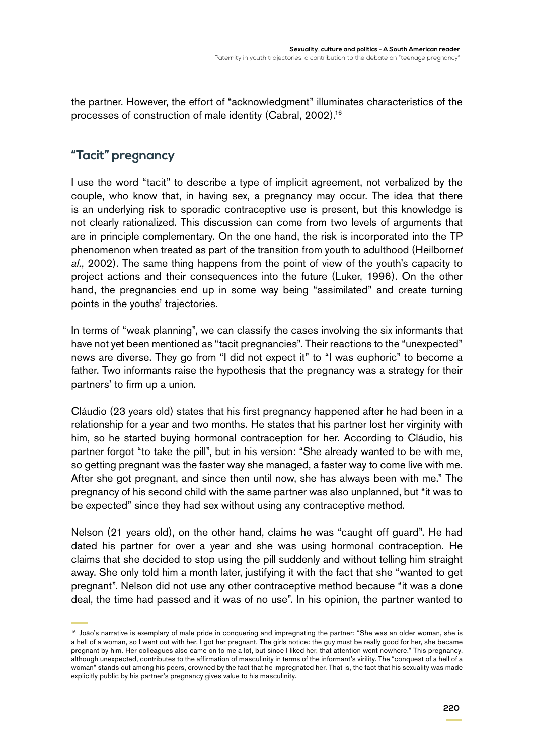the partner. However, the effort of "acknowledgment" illuminates characteristics of the processes of construction of male identity (Cabral, 2002).16

## **"Tacit" pregnancy**

I use the word "tacit" to describe a type of implicit agreement, not verbalized by the couple, who know that, in having sex, a pregnancy may occur. The idea that there is an underlying risk to sporadic contraceptive use is present, but this knowledge is not clearly rationalized. This discussion can come from two levels of arguments that are in principle complementary. On the one hand, the risk is incorporated into the TP phenomenon when treated as part of the transition from youth to adulthood (Heilborn*et al.*, 2002). The same thing happens from the point of view of the youth's capacity to project actions and their consequences into the future (Luker, 1996). On the other hand, the pregnancies end up in some way being "assimilated" and create turning points in the youths' trajectories.

In terms of "weak planning", we can classify the cases involving the six informants that have not yet been mentioned as "tacit pregnancies". Their reactions to the "unexpected" news are diverse. They go from "I did not expect it" to "I was euphoric" to become a father. Two informants raise the hypothesis that the pregnancy was a strategy for their partners' to firm up a union.

Cláudio (23 years old) states that his first pregnancy happened after he had been in a relationship for a year and two months. He states that his partner lost her virginity with him, so he started buying hormonal contraception for her. According to Cláudio, his partner forgot "to take the pill", but in his version: "She already wanted to be with me, so getting pregnant was the faster way she managed, a faster way to come live with me. After she got pregnant, and since then until now, she has always been with me." The pregnancy of his second child with the same partner was also unplanned, but "it was to be expected" since they had sex without using any contraceptive method.

Nelson (21 years old), on the other hand, claims he was "caught off guard". He had dated his partner for over a year and she was using hormonal contraception. He claims that she decided to stop using the pill suddenly and without telling him straight away. She only told him a month later, justifying it with the fact that she "wanted to get pregnant". Nelson did not use any other contraceptive method because "it was a done deal, the time had passed and it was of no use". In his opinion, the partner wanted to

<sup>&</sup>lt;sup>16</sup> João's narrative is exemplary of male pride in conquering and impregnating the partner: "She was an older woman, she is a hell of a woman, so I went out with her, I got her pregnant. The girls notice: the guy must be really good for her, she became pregnant by him. Her colleagues also came on to me a lot, but since I liked her, that attention went nowhere." This pregnancy, although unexpected, contributes to the affirmation of masculinity in terms of the informant's virility. The "conquest of a hell of a woman" stands out among his peers, crowned by the fact that he impregnated her. That is, the fact that his sexuality was made explicitly public by his partner's pregnancy gives value to his masculinity.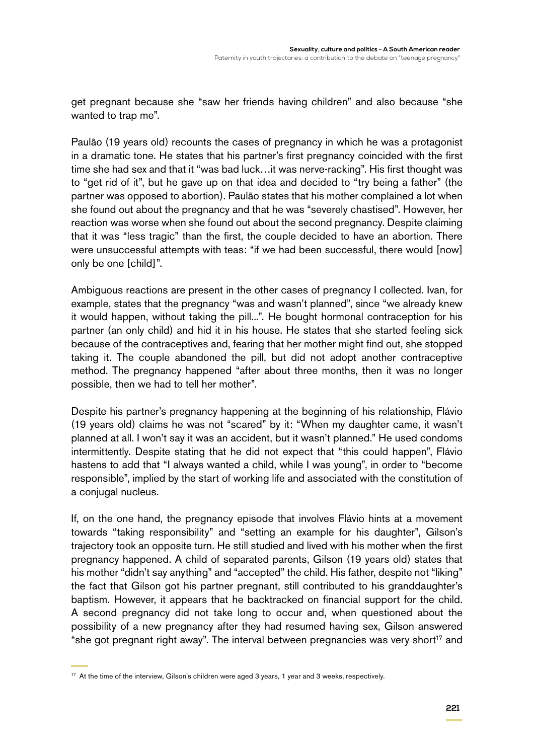get pregnant because she "saw her friends having children" and also because "she wanted to trap me".

Paulão (19 years old) recounts the cases of pregnancy in which he was a protagonist in a dramatic tone. He states that his partner's first pregnancy coincided with the first time she had sex and that it "was bad luck…it was nerve-racking". His first thought was to "get rid of it", but he gave up on that idea and decided to "try being a father" (the partner was opposed to abortion). Paulão states that his mother complained a lot when she found out about the pregnancy and that he was "severely chastised". However, her reaction was worse when she found out about the second pregnancy. Despite claiming that it was "less tragic" than the first, the couple decided to have an abortion. There were unsuccessful attempts with teas: "if we had been successful, there would [now] only be one [child]".

Ambiguous reactions are present in the other cases of pregnancy I collected. Ivan, for example, states that the pregnancy "was and wasn't planned", since "we already knew it would happen, without taking the pill...". He bought hormonal contraception for his partner (an only child) and hid it in his house. He states that she started feeling sick because of the contraceptives and, fearing that her mother might find out, she stopped taking it. The couple abandoned the pill, but did not adopt another contraceptive method. The pregnancy happened "after about three months, then it was no longer possible, then we had to tell her mother".

Despite his partner's pregnancy happening at the beginning of his relationship, Flávio (19 years old) claims he was not "scared" by it: "When my daughter came, it wasn't planned at all. I won't say it was an accident, but it wasn't planned." He used condoms intermittently. Despite stating that he did not expect that "this could happen", Flávio hastens to add that "I always wanted a child, while I was young", in order to "become responsible", implied by the start of working life and associated with the constitution of a conjugal nucleus.

If, on the one hand, the pregnancy episode that involves Flávio hints at a movement towards "taking responsibility" and "setting an example for his daughter", Gilson's trajectory took an opposite turn. He still studied and lived with his mother when the first pregnancy happened. A child of separated parents, Gilson (19 years old) states that his mother "didn't say anything" and "accepted" the child. His father, despite not "liking" the fact that Gilson got his partner pregnant, still contributed to his granddaughter's baptism. However, it appears that he backtracked on financial support for the child. A second pregnancy did not take long to occur and, when questioned about the possibility of a new pregnancy after they had resumed having sex, Gilson answered "she got pregnant right away". The interval between pregnancies was very short<sup>17</sup> and

<sup>&</sup>lt;sup>17</sup> At the time of the interview, Gilson's children were aged 3 years, 1 year and 3 weeks, respectively.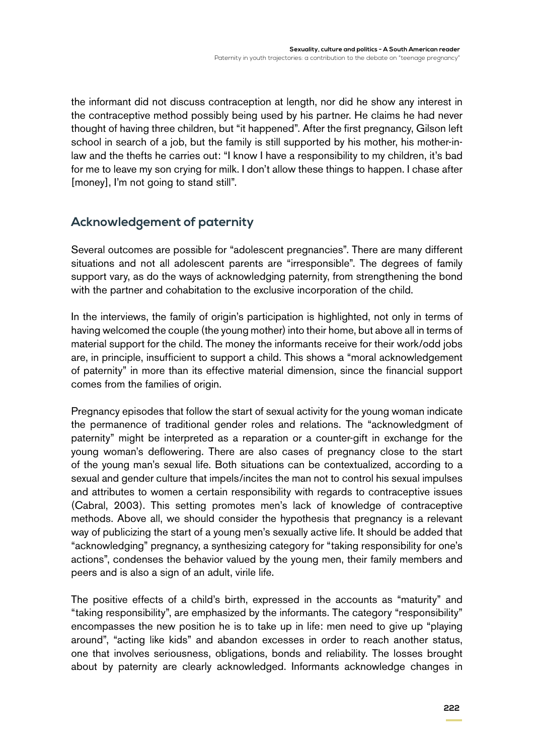the informant did not discuss contraception at length, nor did he show any interest in the contraceptive method possibly being used by his partner. He claims he had never thought of having three children, but "it happened". After the first pregnancy, Gilson left school in search of a job, but the family is still supported by his mother, his mother-inlaw and the thefts he carries out: "I know I have a responsibility to my children, it's bad for me to leave my son crying for milk. I don't allow these things to happen. I chase after [money], I'm not going to stand still".

## **Acknowledgement of paternity**

Several outcomes are possible for "adolescent pregnancies". There are many different situations and not all adolescent parents are "irresponsible". The degrees of family support vary, as do the ways of acknowledging paternity, from strengthening the bond with the partner and cohabitation to the exclusive incorporation of the child.

In the interviews, the family of origin's participation is highlighted, not only in terms of having welcomed the couple (the young mother) into their home, but above all in terms of material support for the child. The money the informants receive for their work/odd jobs are, in principle, insufficient to support a child. This shows a "moral acknowledgement of paternity" in more than its effective material dimension, since the financial support comes from the families of origin.

Pregnancy episodes that follow the start of sexual activity for the young woman indicate the permanence of traditional gender roles and relations. The "acknowledgment of paternity" might be interpreted as a reparation or a counter-gift in exchange for the young woman's deflowering. There are also cases of pregnancy close to the start of the young man's sexual life. Both situations can be contextualized, according to a sexual and gender culture that impels/incites the man not to control his sexual impulses and attributes to women a certain responsibility with regards to contraceptive issues (Cabral, 2003). This setting promotes men's lack of knowledge of contraceptive methods. Above all, we should consider the hypothesis that pregnancy is a relevant way of publicizing the start of a young men's sexually active life. It should be added that "acknowledging" pregnancy, a synthesizing category for "taking responsibility for one's actions", condenses the behavior valued by the young men, their family members and peers and is also a sign of an adult, virile life.

The positive effects of a child's birth, expressed in the accounts as "maturity" and "taking responsibility", are emphasized by the informants. The category "responsibility" encompasses the new position he is to take up in life: men need to give up "playing around", "acting like kids" and abandon excesses in order to reach another status, one that involves seriousness, obligations, bonds and reliability. The losses brought about by paternity are clearly acknowledged. Informants acknowledge changes in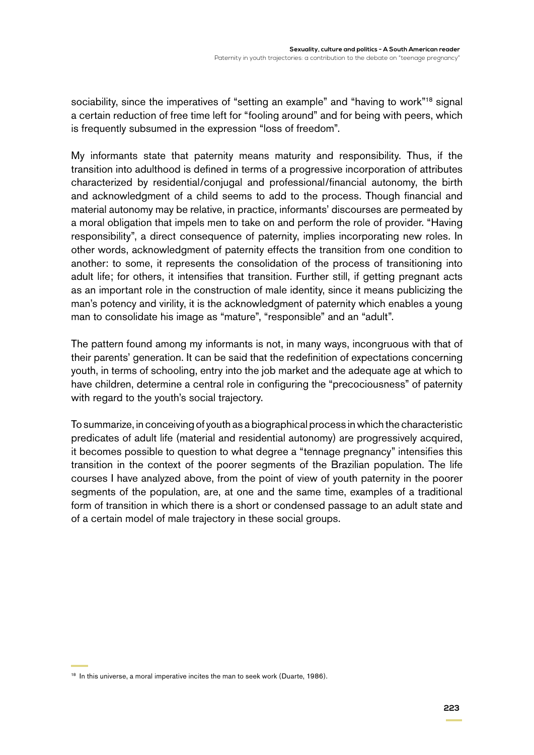sociability, since the imperatives of "setting an example" and "having to work"<sup>18</sup> signal a certain reduction of free time left for "fooling around" and for being with peers, which is frequently subsumed in the expression "loss of freedom".

My informants state that paternity means maturity and responsibility. Thus, if the transition into adulthood is defined in terms of a progressive incorporation of attributes characterized by residential/conjugal and professional/financial autonomy, the birth and acknowledgment of a child seems to add to the process. Though financial and material autonomy may be relative, in practice, informants' discourses are permeated by a moral obligation that impels men to take on and perform the role of provider. "Having responsibility", a direct consequence of paternity, implies incorporating new roles. In other words, acknowledgment of paternity effects the transition from one condition to another: to some, it represents the consolidation of the process of transitioning into adult life; for others, it intensifies that transition. Further still, if getting pregnant acts as an important role in the construction of male identity, since it means publicizing the man's potency and virility, it is the acknowledgment of paternity which enables a young man to consolidate his image as "mature", "responsible" and an "adult".

The pattern found among my informants is not, in many ways, incongruous with that of their parents' generation. It can be said that the redefinition of expectations concerning youth, in terms of schooling, entry into the job market and the adequate age at which to have children, determine a central role in configuring the "precociousness" of paternity with regard to the youth's social trajectory.

To summarize, in conceiving of youth as a biographical process in which the characteristic predicates of adult life (material and residential autonomy) are progressively acquired, it becomes possible to question to what degree a "tennage pregnancy" intensifies this transition in the context of the poorer segments of the Brazilian population. The life courses I have analyzed above, from the point of view of youth paternity in the poorer segments of the population, are, at one and the same time, examples of a traditional form of transition in which there is a short or condensed passage to an adult state and of a certain model of male trajectory in these social groups.

<sup>&</sup>lt;sup>18</sup> In this universe, a moral imperative incites the man to seek work (Duarte, 1986).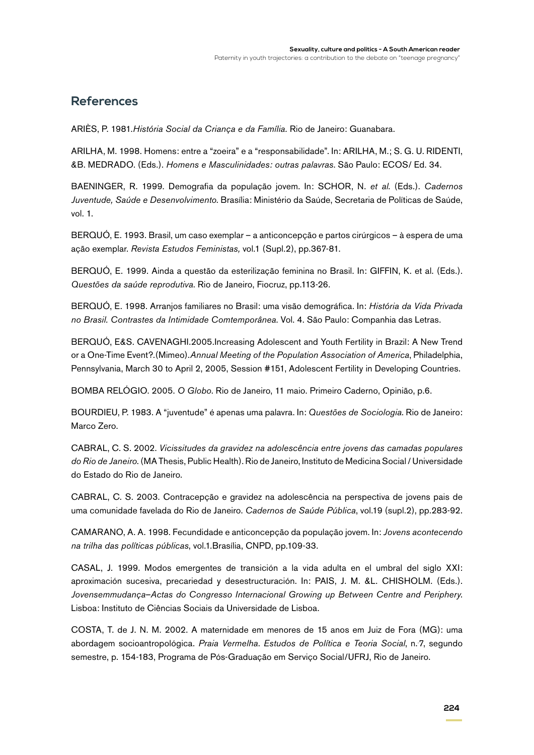#### **References**

ARIÈS, P. 1981.*História Social da Criança e da Família.* Rio de Janeiro: Guanabara.

ARILHA, M. 1998. Homens: entre a "zoeira" e a "responsabilidade". In: ARILHA, M.; S. G. U. RIDENTI, &B. MEDRADO. (Eds.). *Homens e Masculinidades: outras palavras*. São Paulo: ECOS/ Ed. 34.

BAENINGER, R. 1999. Demografia da população jovem. In: Schor, N. *et al*. (Eds.). *Cadernos Juventude, Saúde e Desenvolvimento*. Brasília: Ministério da Saúde, Secretaria de Políticas de Saúde, vol. 1.

BERQUÓ, E. 1993. Brasil, um caso exemplar – a anticoncepção e partos cirúrgicos – à espera de uma ação exemplar. *Revista Estudos Feministas,* vol.1 (Supl.2), pp.367-81.

BERQUÓ, E. 1999. Ainda a questão da esterilização feminina no Brasil. In: GIFFIN, K. et al. (Eds.). *Questões da saúde reprodutiva*. Rio de Janeiro, Fiocruz, pp.113-26.

BERQUÓ, E. 1998. Arranjos familiares no Brasil: uma visão demográfica. In: *História da Vida Privada no Brasil. Contrastes da Intimidade Comtemporânea*. Vol. 4. São Paulo: Companhia das Letras.

Berquó, E&S. Cavenaghi.2005.Increasing Adolescent and Youth Fertility in Brazil: A New Trend or a One-Time Event?*.*(Mimeo).*Annual Meeting of the Population Association of America*, Philadelphia, Pennsylvania, March 30 to April 2, 2005, Session #151, Adolescent Fertility in Developing Countries.

BOMBA relógio. 2005. *O Globo*. Rio de Janeiro, 11 maio. Primeiro Caderno, Opinião, p.6.

BOURDIEU, P. 1983. A "juventude" é apenas uma palavra. In: *Questões de Sociologia*. Rio de Janeiro: Marco Zero.

Cabral, C. S. 2002. *Vicissitudes da gravidez na adolescência entre jovens das camadas populares do Rio de Janeiro*. (MA Thesis, Public Health). Rio de Janeiro, Instituto de Medicina Social / Universidade do Estado do Rio de Janeiro.

CABRAL, C. S. 2003. Contracepção e gravidez na adolescência na perspectiva de jovens pais de uma comunidade favelada do Rio de Janeiro. *Cadernos de Saúde Pública*, vol.19 (supl.2), pp.283-92.

Camarano, A. A. 1998. Fecundidade e anticoncepção da população jovem. In: *Jovens acontecendo na trilha das políticas públicas*, vol.1*.*Brasília, CNPD, pp.109-33.

CASAL, J. 1999. Modos emergentes de transición a la vida adulta en el umbral del siglo XXI: aproximación sucesiva, precariedad y desestructuración. In: PAIS, J. M. &L. CHISHOLM. (Eds.). *Jovensemmudança*–*Actas do Congresso Internacional Growing up Between Centre and Periphery*. Lisboa: Instituto de Ciências Sociais da Universidade de Lisboa.

COSTA, T. de J. N. M. 2002. A maternidade em menores de 15 anos em Juiz de Fora (MG): uma abordagem socioantropológica. *Praia Vermelha*. *Estudos de Política e Teoria Social*, n.. 7, segundo semestre, p. 154-183, Programa de Pós-Graduação em Serviço Social/UFRJ, Rio de Janeiro.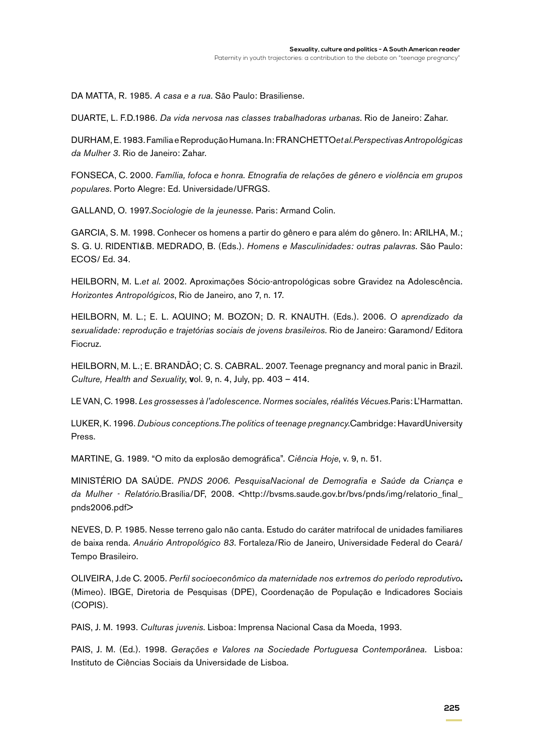DA MATTA, R. 1985. *A casa e a rua*. São Paulo: Brasiliense.

DUARTE, L. F.D.1986. *Da vida nervosa nas classes trabalhadoras urbanas*. Rio de Janeiro: Zahar.

DURHAM, E. 1983. Família e Reprodução Humana. In: Franchetto*et al.Perspectivas Antropológicas da Mulher 3*. Rio de Janeiro: Zahar.

FONSECA, C. 2000. *Família, fofoca e honra. Etnografia de relações de gênero e violência em grupos populares*. Porto Alegre: Ed. Universidade/UFRGS.

GALLAND, O. 1997.*Sociologie de la jeunesse*. Paris: Armand Colin.

GARCIA, S. M. 1998. Conhecer os homens a partir do gênero e para além do gênero. In: ARILHA, M.; S. G. U. Ridenti&B. Medrado, B. (Eds.). *Homens e Masculinidades: outras palavras*. São Paulo: ECOS/ Ed. 34.

HEILBORN, M. L.*et al*. 2002. Aproximações Sócio-antropológicas sobre Gravidez na Adolescência. *Horizontes Antropológicos*, Rio de Janeiro, ano 7, n. 17.

HEILBORN, M. L.; E. L. AQUINO; M. BOZON; D. R. KNAUTH. (Eds.). 2006. *O aprendizado da sexualidade: reprodução e trajetórias sociais de jovens brasileiros.* Rio de Janeiro: Garamond/ Editora Fiocruz.

HEILBORN, M. L.; E. BRANDÃO; C. S. CABRAL. 2007. Teenage pregnancy and moral panic in Brazil. *Culture, Health and Sexuality*, **v**ol. 9, n. 4, July, pp. 403 – 414.

LE VAN, C. 1998. *Les grossesses à l'adolescence. Normes sociales, réalités Vécues.*Paris: L'Harmattan.

LUKER, K. 1996. *Dubious conceptions.The politics of teenage pregnancy*.Cambridge: HavardUniversity Press.

MARTINE, G. 1989. "O mito da explosão demográfica". *Ciência Hoje*, v. 9, n. 51.

MINISTÉRIO DA SAÚDE. *PNDS 2006. PesquisaNacional de Demografia e Saúde da Criança e*  da Mulher - Relatório.Brasília/DF, 2008. <http://bvsms.saude.gov.br/bvs/pnds/img/relatorio\_final\_ pnds2006.pdf>

NEVES, D. P. 1985. Nesse terreno galo não canta. Estudo do caráter matrifocal de unidades familiares de baixa renda. *Anuário Antropológico 83*. Fortaleza/Rio de Janeiro, Universidade Federal do Ceará/ Tempo Brasileiro.

OLIVEIRA, J.de C. 2005. *Perfil socioeconômico da maternidade nos extremos do período reprodutivo***.**  (Mimeo). IBGE, Diretoria de Pesquisas (DPE), Coordenação de População e Indicadores Sociais (COPIS).

PAIS, J. M. 1993. *Culturas juvenis*. Lisboa: Imprensa Nacional Casa da Moeda, 1993.

PAIS, J. M. (Ed.). 1998. *Gerações e Valores na Sociedade Portuguesa Contemporânea*. Lisboa: Instituto de Ciências Sociais da Universidade de Lisboa.